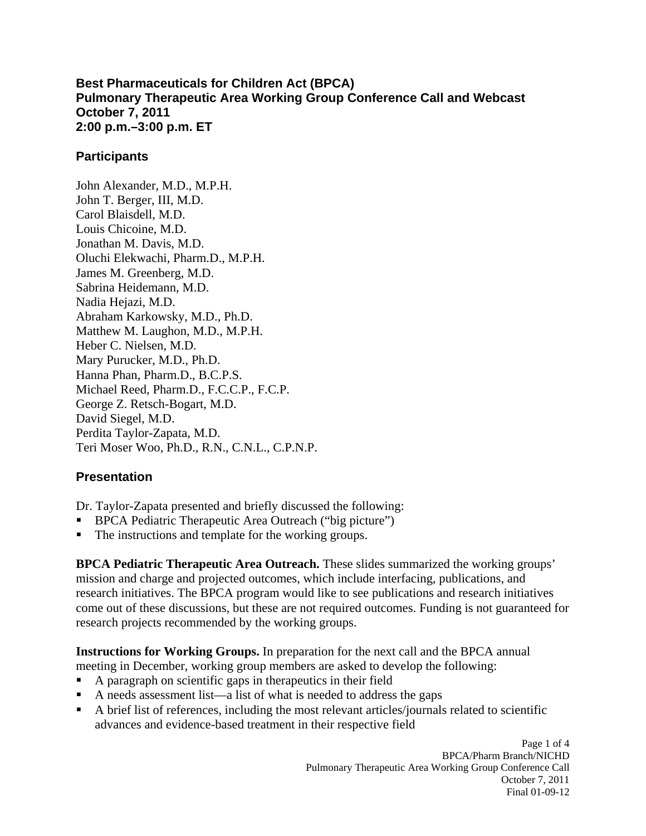**Best Pharmaceuticals for Children Act (BPCA) Pulmonary Therapeutic Area Working Group Conference Call and Webcast October 7, 2011 2:00 p.m.–3:00 p.m. ET** 

### **Participants**

John Alexander, M.D., M.P.H. John T. Berger, III, M.D. Carol Blaisdell, M.D. Louis Chicoine, M.D. Jonathan M. Davis, M.D. Oluchi Elekwachi, Pharm.D., M.P.H. James M. Greenberg, M.D. Sabrina Heidemann, M.D. Nadia Hejazi, M.D. Abraham Karkowsky, M.D., Ph.D. Matthew M. Laughon, M.D., M.P.H. Heber C. Nielsen, M.D. Mary Purucker, M.D., Ph.D. Hanna Phan, Pharm.D., B.C.P.S. Michael Reed, Pharm.D., F.C.C.P., F.C.P. George Z. Retsch-Bogart, M.D. David Siegel, M.D. Perdita Taylor-Zapata, M.D. Teri Moser Woo, Ph.D., R.N., C.N.L., C.P.N.P.

# **Presentation**

Dr. Taylor-Zapata presented and briefly discussed the following:

- **BPCA Pediatric Therapeutic Area Outreach ("big picture")**
- . The instructions and template for the working groups.

**BPCA Pediatric Therapeutic Area Outreach.** These slides summarized the working groups' mission and charge and projected outcomes, which include interfacing, publications, and research initiatives. The BPCA program would like to see publications and research initiatives come out of these discussions, but these are not required outcomes. Funding is not guaranteed for research projects recommended by the working groups.

**Instructions for Working Groups.** In preparation for the next call and the BPCA annual meeting in December, working group members are asked to develop the following:

- . A paragraph on scientific gaps in therapeutics in their field
- A needs assessment list—a list of what is needed to address the gaps
- . A brief list of references, including the most relevant articles/journals related to scientific advances and evidence-based treatment in their respective field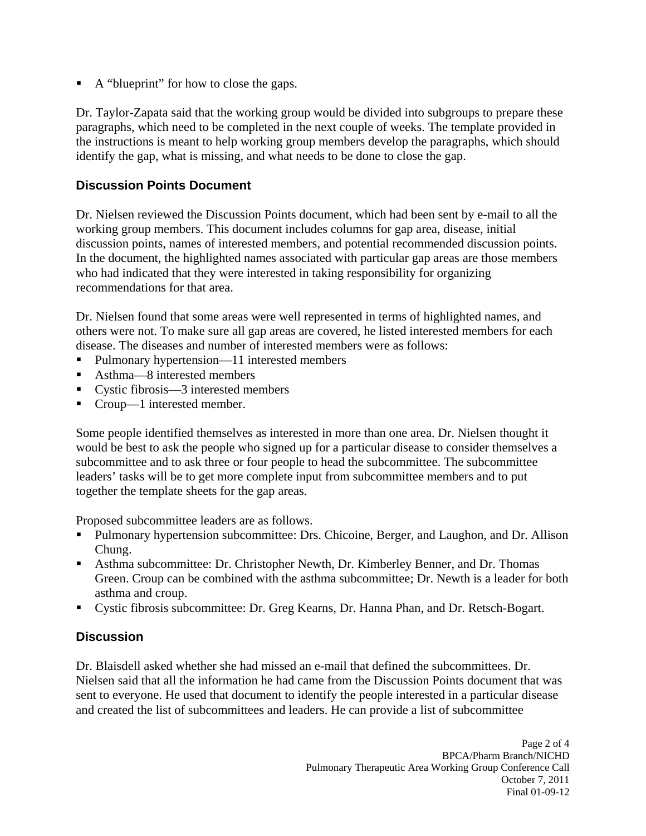A "blueprint" for how to close the gaps.

Dr. Taylor-Zapata said that the working group would be divided into subgroups to prepare these paragraphs, which need to be completed in the next couple of weeks. The template provided in the instructions is meant to help working group members develop the paragraphs, which should identify the gap, what is missing, and what needs to be done to close the gap.

# **Discussion Points Document**

Dr. Nielsen reviewed the Discussion Points document, which had been sent by e-mail to all the working group members. This document includes columns for gap area, disease, initial discussion points, names of interested members, and potential recommended discussion points. In the document, the highlighted names associated with particular gap areas are those members who had indicated that they were interested in taking responsibility for organizing recommendations for that area.

Dr. Nielsen found that some areas were well represented in terms of highlighted names, and others were not. To make sure all gap areas are covered, he listed interested members for each disease. The diseases and number of interested members were as follows:

- . Pulmonary hypertension—11 interested members
- $\blacksquare$ Asthma—8 interested members
- Cystic fibrosis—3 interested members
- . Croup—1 interested member.

Some people identified themselves as interested in more than one area. Dr. Nielsen thought it would be best to ask the people who signed up for a particular disease to consider themselves a subcommittee and to ask three or four people to head the subcommittee. The subcommittee leaders' tasks will be to get more complete input from subcommittee members and to put together the template sheets for the gap areas.

Proposed subcommittee leaders are as follows.

- **Pulmonary hypertension subcommittee: Drs. Chicoine, Berger, and Laughon, and Dr. Allison** Chung.
- Asthma subcommittee: Dr. Christopher Newth, Dr. Kimberley Benner, and Dr. Thomas Green. Croup can be combined with the asthma subcommittee; Dr. Newth is a leader for both asthma and croup.
- Cystic fibrosis subcommittee: Dr. Greg Kearns, Dr. Hanna Phan, and Dr. Retsch-Bogart.

# **Discussion**

Dr. Blaisdell asked whether she had missed an e-mail that defined the subcommittees. Dr. Nielsen said that all the information he had came from the Discussion Points document that was sent to everyone. He used that document to identify the people interested in a particular disease and created the list of subcommittees and leaders. He can provide a list of subcommittee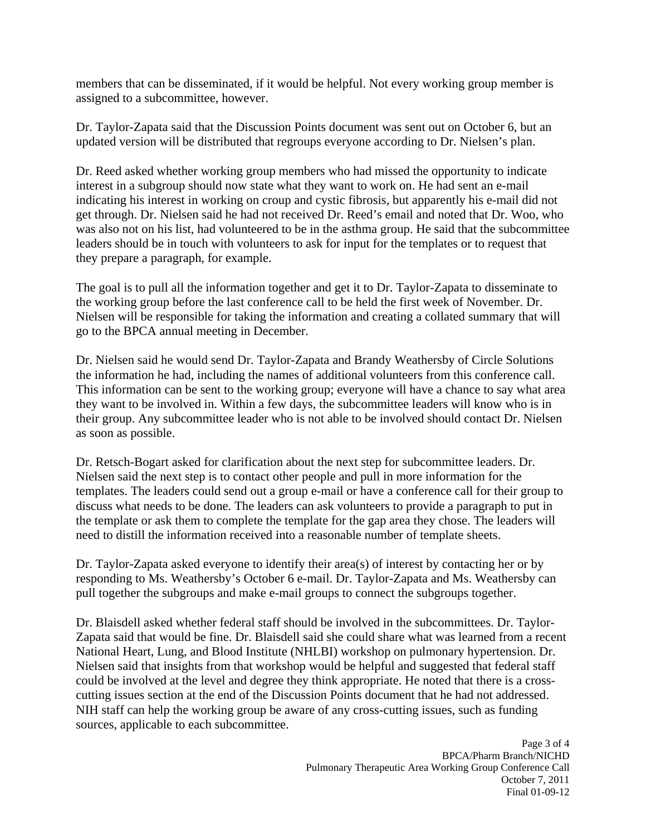members that can be disseminated, if it would be helpful. Not every working group member is assigned to a subcommittee, however.

Dr. Taylor-Zapata said that the Discussion Points document was sent out on October 6, but an updated version will be distributed that regroups everyone according to Dr. Nielsen's plan.

Dr. Reed asked whether working group members who had missed the opportunity to indicate interest in a subgroup should now state what they want to work on. He had sent an e-mail indicating his interest in working on croup and cystic fibrosis, but apparently his e-mail did not get through. Dr. Nielsen said he had not received Dr. Reed's email and noted that Dr. Woo, who was also not on his list, had volunteered to be in the asthma group. He said that the subcommittee leaders should be in touch with volunteers to ask for input for the templates or to request that they prepare a paragraph, for example.

The goal is to pull all the information together and get it to Dr. Taylor-Zapata to disseminate to the working group before the last conference call to be held the first week of November. Dr. Nielsen will be responsible for taking the information and creating a collated summary that will go to the BPCA annual meeting in December.

Dr. Nielsen said he would send Dr. Taylor-Zapata and Brandy Weathersby of Circle Solutions the information he had, including the names of additional volunteers from this conference call. This information can be sent to the working group; everyone will have a chance to say what area they want to be involved in. Within a few days, the subcommittee leaders will know who is in their group. Any subcommittee leader who is not able to be involved should contact Dr. Nielsen as soon as possible.

Dr. Retsch-Bogart asked for clarification about the next step for subcommittee leaders. Dr. Nielsen said the next step is to contact other people and pull in more information for the templates. The leaders could send out a group e-mail or have a conference call for their group to discuss what needs to be done. The leaders can ask volunteers to provide a paragraph to put in the template or ask them to complete the template for the gap area they chose. The leaders will need to distill the information received into a reasonable number of template sheets.

Dr. Taylor-Zapata asked everyone to identify their area(s) of interest by contacting her or by responding to Ms. Weathersby's October 6 e-mail. Dr. Taylor-Zapata and Ms. Weathersby can pull together the subgroups and make e-mail groups to connect the subgroups together.

Dr. Blaisdell asked whether federal staff should be involved in the subcommittees. Dr. Taylor-Zapata said that would be fine. Dr. Blaisdell said she could share what was learned from a recent National Heart, Lung, and Blood Institute (NHLBI) workshop on pulmonary hypertension. Dr. Nielsen said that insights from that workshop would be helpful and suggested that federal staff could be involved at the level and degree they think appropriate. He noted that there is a crosscutting issues section at the end of the Discussion Points document that he had not addressed. NIH staff can help the working group be aware of any cross-cutting issues, such as funding sources, applicable to each subcommittee.